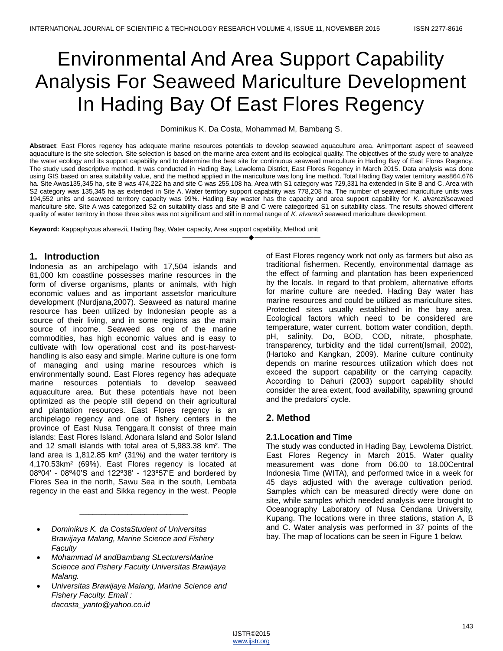# Environmental And Area Support Capability Analysis For Seaweed Mariculture Development In Hading Bay Of East Flores Regency

Dominikus K. Da Costa, Mohammad M, Bambang S.

**Abstract**: East Flores regency has adequate marine resources potentials to develop seaweed aquaculture area. Animportant aspect of seaweed aquaculture is the site selection. Site selection is based on the marine area extent and its ecological quality. The objectives of the study were to analyze the water ecology and its support capability and to determine the best site for continuous seaweed mariculture in Hading Bay of East Flores Regency. The study used descriptive method. It was conducted in Hading Bay, Lewolema District, East Flores Regency in March 2015. Data analysis was done using GIS based on area suitability value, and the method applied in the mariculture was long line method. Total Hading Bay water territory was864,676 ha. Site Awas135,345 ha, site B was 474,222 ha and site C was 255,108 ha. Area with S1 category was 729,331 ha extended in Site B and C. Area with S2 category was 135,345 ha as extended in Site A. Water territory support capability was 778,208 ha. The number of seaweed mariculture units was 194,552 units and seaweed territory capacity was 99%. Hading Bay waster has the capacity and area support capability for *K. alvarezii*seaweed mariculture site. Site A was categorized S2 on suitability class and site B and C were categorized S1 on suitability class. The results showed different quality of water territory in those three sites was not significant and still in normal range of *K. alvarezii* seaweed mariculture development.

————————————————————

**Keyword:** Kappaphycus alvarezii, Hading Bay, Water capacity, Area support capability, Method unit

## **1. Introduction**

Indonesia as an archipelago with 17,504 islands and 81,000 km coastline possesses marine resources in the form of diverse organisms, plants or animals, with high economic values and as important assetsfor mariculture development (Nurdjana,2007). Seaweed as natural marine resource has been utilized by Indonesian people as a source of their living, and in some regions as the main source of income. Seaweed as one of the marine commodities, has high economic values and is easy to cultivate with low operational cost and its post-harvesthandling is also easy and simple. Marine culture is one form of managing and using marine resources which is environmentally sound. East Flores regency has adequate marine resources potentials to develop seaweed aquaculture area. But these potentials have not been optimized as the people still depend on their agricultural and plantation resources. East Flores regency is an archipelago regency and one of fishery centers in the province of East Nusa Tenggara.It consist of three main islands: East Flores Island, Adonara Island and Solor Island and 12 small islands with total area of 5,983.38 km². The land area is 1,812.85 km² (31%) and the water territory is 4,170.53km² (69%). East Flores regency is located at 08º04' - 08º40'S and 122º38' - 123º57'E and bordered by Flores Sea in the north, Sawu Sea in the south, Lembata regency in the east and Sikka regency in the west. People

 *Dominikus K. da CostaStudent of Universitas Brawijaya Malang, Marine Science and Fishery Faculty*

\_\_\_\_\_\_\_\_\_\_\_\_\_\_\_\_\_\_\_\_\_\_\_\_\_

- *Mohammad M andBambang SLecturersMarine Science and Fishery Faculty Universitas Brawijaya Malang.*
- *Universitas Brawijaya Malang, Marine Science and Fishery Faculty. Email : dacosta\_yanto@yahoo.co.id*

of East Flores regency work not only as farmers but also as traditional fishermen. Recently, environmental damage as the effect of farming and plantation has been experienced by the locals. In regard to that problem, alternative efforts for marine culture are needed. Hading Bay water has marine resources and could be utilized as mariculture sites. Protected sites usually established in the bay area. Ecological factors which need to be considered are temperature, water current, bottom water condition, depth, pH, salinity, Do, BOD, COD, nitrate, phosphate, transparency, turbidity and the tidal current(Ismail, 2002), (Hartoko and Kangkan, 2009). Marine culture continuity depends on marine resources utilization which does not exceed the support capability or the carrying capacity. According to Dahuri (2003) support capability should consider the area extent, food availability, spawning ground and the predators' cycle.

# **2. Method**

## **2.1.Location and Time**

The study was conducted in Hading Bay, Lewolema District, East Flores Regency in March 2015. Water quality measurement was done from 06.00 to 18.00Central Indonesia Time (WITA), and performed twice in a week for 45 days adjusted with the average cultivation period. Samples which can be measured directly were done on site, while samples which needed analysis were brought to Oceanography Laboratory of Nusa Cendana University, Kupang. The locations were in three stations, station A, B and C. Water analysis was performed in 37 points of the bay. The map of locations can be seen in Figure 1 below.

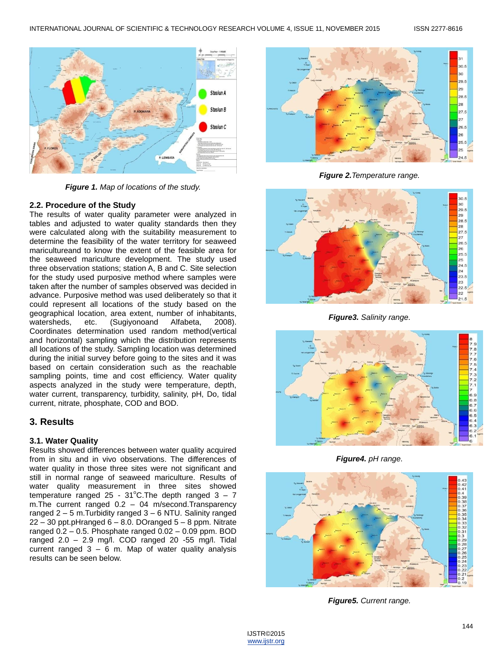

*Figure 1. Map of locations of the study.*

#### **2.2. Procedure of the Study**

The results of water quality parameter were analyzed in tables and adjusted to water quality standards then they were calculated along with the suitability measurement to determine the feasibility of the water territory for seaweed maricultureand to know the extent of the feasible area for the seaweed mariculture development. The study used three observation stations; station A, B and C. Site selection for the study used purposive method where samples were taken after the number of samples observed was decided in advance. Purposive method was used deliberately so that it could represent all locations of the study based on the geographical location, area extent, number of inhabitants, watersheds, etc. (Sugiyonoand Alfabeta, 2008). Coordinates determination used random method(vertical and horizontal) sampling which the distribution represents all locations of the study. Sampling location was determined during the initial survey before going to the sites and it was based on certain consideration such as the reachable sampling points, time and cost efficiency. Water quality aspects analyzed in the study were temperature, depth, water current, transparency, turbidity, salinity, pH, Do, tidal current, nitrate, phosphate, COD and BOD.

## **3. Results**

#### **3.1. Water Quality**

Results showed differences between water quality acquired from in situ and in vivo observations. The differences of water quality in those three sites were not significant and still in normal range of seaweed mariculture. Results of water quality measurement in three sites showed temperature ranged 25 - 31°C. The depth ranged  $3 - 7$ m.The current ranged 0.2 – 04 m/second.Transparency ranged 2 – 5 m.Turbidity ranged 3 – 6 NTU. Salinity ranged  $22 - 30$  ppt.pHranged  $6 - 8.0$ . DOranged  $5 - 8$  ppm. Nitrate ranged  $0.2 - 0.5$ . Phosphate ranged  $0.02 - 0.09$  ppm. BOD ranged 2.0 – 2.9 mg/l. COD ranged 20 -55 mg/l. Tidal current ranged  $3 - 6$  m. Map of water quality analysis results can be seen below.



*Figure 2.Temperature range.*



*Figure3. Salinity range.*



*Figure4. pH range.*



*Figure5. Current range.*

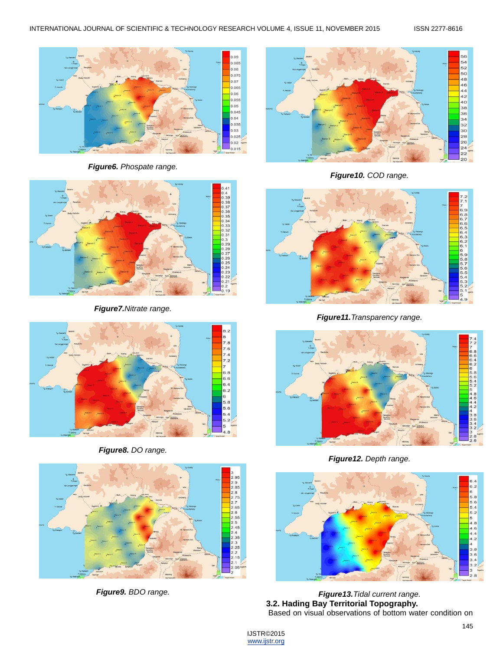

*Figure6. Phospate range.*



*Figure7.Nitrate range.*



*Figure8. DO range.*



*Figure9. BDO range.*



*Figure10. COD range.*



*Figure11.Transparency range.*



*Figure12. Depth range.*



*Figure13.Tidal current range.* **3.2. Hading Bay Territorial Topography.** Based on visual observations of bottom water condition on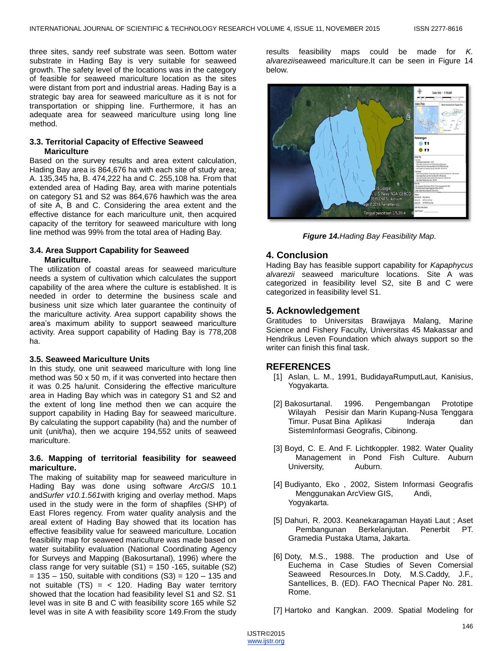three sites, sandy reef substrate was seen. Bottom water substrate in Hading Bay is very suitable for seaweed growth. The safety level of the locations was in the category of feasible for seaweed mariculture location as the sites were distant from port and industrial areas. Hading Bay is a strategic bay area for seaweed mariculture as it is not for transportation or shipping line. Furthermore, it has an adequate area for seaweed mariculture using long line method.

#### **3.3. Territorial Capacity of Effective Seaweed Mariculture**

Based on the survey results and area extent calculation, Hading Bay area is 864,676 ha with each site of study area; A. 135,345 ha, B. 474,222 ha and C. 255,108 ha. From that extended area of Hading Bay, area with marine potentials on category S1 and S2 was 864,676 hawhich was the area of site A, B and C. Considering the area extent and the effective distance for each mariculture unit, then acquired capacity of the territory for seaweed mariculture with long line method was 99% from the total area of Hading Bay.

#### **3.4. Area Support Capability for Seaweed Mariculture.**

The utilization of coastal areas for seaweed mariculture needs a system of cultivation which calculates the support capability of the area where the culture is established. It is needed in order to determine the business scale and business unit size which later guarantee the continuity of the mariculture activity. Area support capability shows the area's maximum ability to support seaweed mariculture activity. Area support capability of Hading Bay is 778,208 ha.

#### **3.5. Seaweed Mariculture Units**

In this study, one unit seaweed mariculture with long line method was 50 x 50 m, if it was converted into hectare then it was 0.25 ha/unit. Considering the effective mariculture area in Hading Bay which was in category S1 and S2 and the extent of long line method then we can acquire the support capability in Hading Bay for seaweed mariculture. By calculating the support capability (ha) and the number of unit (unit/ha), then we acquire 194,552 units of seaweed mariculture.

#### **3.6. Mapping of territorial feasibility for seaweed mariculture.**

The making of suitability map for seaweed mariculture in Hading Bay was done using software *ArcGIS* 10.1 and*Surfer v10.1.561*with kriging and overlay method. Maps used in the study were in the form of shapfiles (SHP) of East Flores regency. From water quality analysis and the areal extent of Hading Bay showed that its location has effective feasibility value for seaweed mariculture. Location feasibility map for seaweed mariculture was made based on water suitability evaluation (National Coordinating Agency for Surveys and Mapping (Bakosurtanal), 1996) where the class range for very suitable  $(S1) = 150 - 165$ , suitable  $(S2)$  $= 135 - 150$ , suitable with conditions (S3) = 120 – 135 and not suitable  $(TS) = 120$ . Hading Bay water territory showed that the location had feasibility level S1 and S2. S1 level was in site B and C with feasibility score 165 while S2 level was in site A with feasibility score 149.From the study

results feasibility maps could be made for *K. alvarezii*seaweed mariculture.It can be seen in Figure 14 below.



*Figure 14.Hading Bay Feasibility Map.*

## **4. Conclusion**

Hading Bay has feasible support capability for *Kapaphycus alvarezii* seaweed mariculture locations. Site A was categorized in feasibility level S2, site B and C were categorized in feasibility level S1.

## **5. Acknowledgement**

Gratitudes to Universitas Brawijaya Malang, Marine Science and Fishery Faculty, Universitas 45 Makassar and Hendrikus Leven Foundation which always support so the writer can finish this final task.

#### **REFERENCES**

- [1] Aslan, L. M., 1991, BudidayaRumputLaut, Kanisius, Yogyakarta.
- [2] Bakosurtanal. 1996. Pengembangan Prototipe Wilayah Pesisir dan Marin Kupang-Nusa Tenggara Timur. Pusat Bina Aplikasi Inderaja dan SistemInformasi Geografis, Cibinong.
- [3] Boyd, C. E. And F. Lichtkoppler. 1982. Water Quality Management in Pond Fish Culture. Auburn University, Auburn.
- [4] Budiyanto, Eko , 2002, Sistem Informasi Geografis Menggunakan ArcView GIS, Andi, Yogyakarta.
- [5] Dahuri, R. 2003. Keanekaragaman Hayati Laut ; Aset Pembangunan Berkelanjutan. Penerbit PT. Gramedia Pustaka Utama, Jakarta.
- [6] Doty, M.S., 1988. The production and Use of Euchema in Case Studies of Seven Comersial Seaweed Resources.In Doty, M.S.Caddy, J.F., Santellices, B. (ED). FAO Thecnical Paper No. 281. Rome.
- [7] Hartoko and Kangkan. 2009. Spatial Modeling for